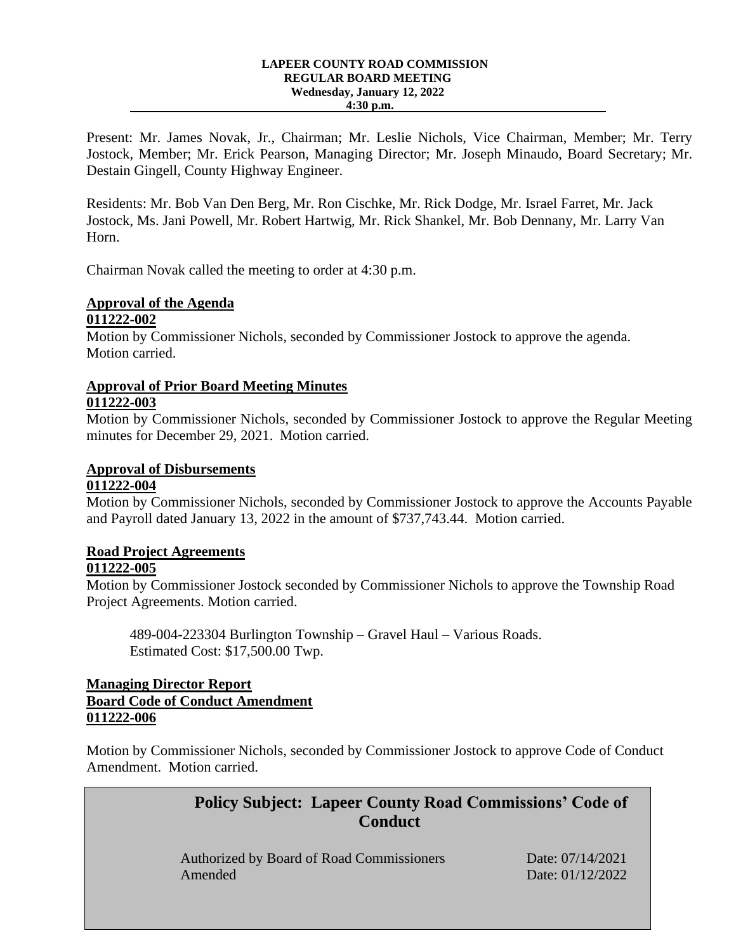#### **LAPEER COUNTY ROAD COMMISSION REGULAR BOARD MEETING Wednesday, January 12, 2022 4:30 p.m.**

Present: Mr. James Novak, Jr., Chairman; Mr. Leslie Nichols, Vice Chairman, Member; Mr. Terry Jostock, Member; Mr. Erick Pearson, Managing Director; Mr. Joseph Minaudo, Board Secretary; Mr. Destain Gingell, County Highway Engineer.

Residents: Mr. Bob Van Den Berg, Mr. Ron Cischke, Mr. Rick Dodge, Mr. Israel Farret, Mr. Jack Jostock, Ms. Jani Powell, Mr. Robert Hartwig, Mr. Rick Shankel, Mr. Bob Dennany, Mr. Larry Van Horn.

Chairman Novak called the meeting to order at 4:30 p.m.

# **Approval of the Agenda**

# **011222-002**

Motion by Commissioner Nichols, seconded by Commissioner Jostock to approve the agenda. Motion carried.

# **Approval of Prior Board Meeting Minutes**

# **011222-003**

Motion by Commissioner Nichols, seconded by Commissioner Jostock to approve the Regular Meeting minutes for December 29, 2021. Motion carried.

#### **Approval of Disbursements 011222-004**

Motion by Commissioner Nichols, seconded by Commissioner Jostock to approve the Accounts Payable and Payroll dated January 13, 2022 in the amount of \$737,743.44. Motion carried.

# **Road Project Agreements**

# **011222-005**

Motion by Commissioner Jostock seconded by Commissioner Nichols to approve the Township Road Project Agreements. Motion carried.

489-004-223304 Burlington Township – Gravel Haul – Various Roads. Estimated Cost: \$17,500.00 Twp.

# **Managing Director Report Board Code of Conduct Amendment 011222-006**

Motion by Commissioner Nichols, seconded by Commissioner Jostock to approve Code of Conduct Amendment. Motion carried.

> **Policy Subject: Lapeer County Road Commissions' Code of Conduct**

Authorized by Board of Road Commissioners Date: 07/14/2021 Amended Date: 01/12/2022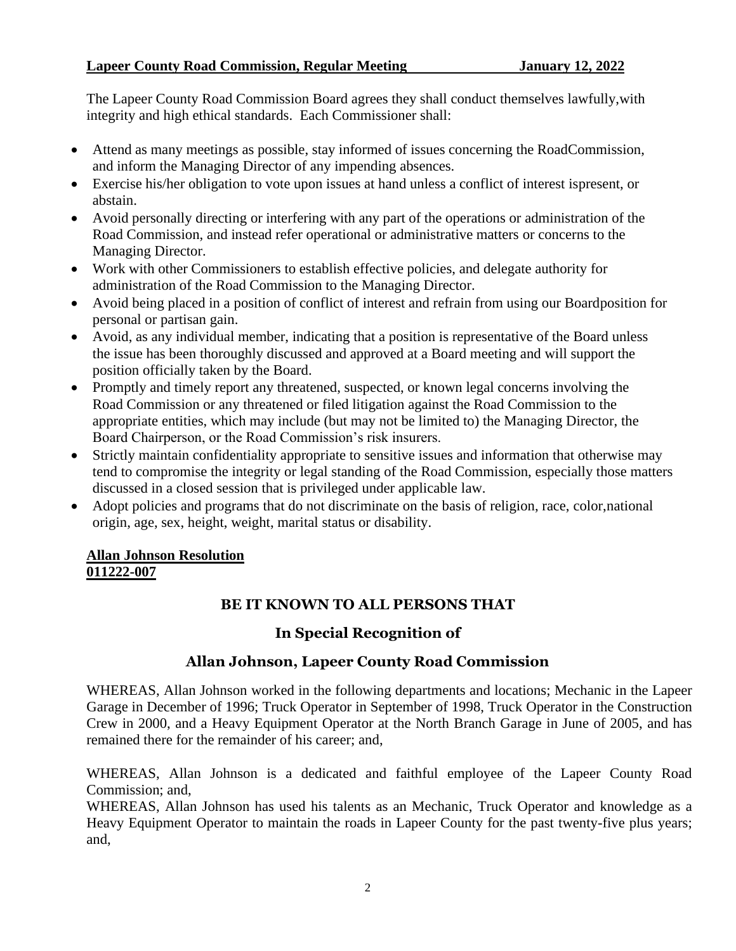The Lapeer County Road Commission Board agrees they shall conduct themselves lawfully,with integrity and high ethical standards. Each Commissioner shall:

- Attend as many meetings as possible, stay informed of issues concerning the RoadCommission, and inform the Managing Director of any impending absences.
- Exercise his/her obligation to vote upon issues at hand unless a conflict of interest ispresent, or abstain.
- Avoid personally directing or interfering with any part of the operations or administration of the Road Commission, and instead refer operational or administrative matters or concerns to the Managing Director.
- Work with other Commissioners to establish effective policies, and delegate authority for administration of the Road Commission to the Managing Director.
- Avoid being placed in a position of conflict of interest and refrain from using our Boardposition for personal or partisan gain.
- Avoid, as any individual member, indicating that a position is representative of the Board unless the issue has been thoroughly discussed and approved at a Board meeting and will support the position officially taken by the Board.
- Promptly and timely report any threatened, suspected, or known legal concerns involving the Road Commission or any threatened or filed litigation against the Road Commission to the appropriate entities, which may include (but may not be limited to) the Managing Director, the Board Chairperson, or the Road Commission's risk insurers.
- Strictly maintain confidentiality appropriate to sensitive issues and information that otherwise may tend to compromise the integrity or legal standing of the Road Commission, especially those matters discussed in a closed session that is privileged under applicable law.
- Adopt policies and programs that do not discriminate on the basis of religion, race, color,national origin, age, sex, height, weight, marital status or disability.

# **Allan Johnson Resolution 011222-007**

# **BE IT KNOWN TO ALL PERSONS THAT**

# **In Special Recognition of**

# **Allan Johnson, Lapeer County Road Commission**

WHEREAS, Allan Johnson worked in the following departments and locations; Mechanic in the Lapeer Garage in December of 1996; Truck Operator in September of 1998, Truck Operator in the Construction Crew in 2000, and a Heavy Equipment Operator at the North Branch Garage in June of 2005, and has remained there for the remainder of his career; and,

WHEREAS, Allan Johnson is a dedicated and faithful employee of the Lapeer County Road Commission; and,

WHEREAS, Allan Johnson has used his talents as an Mechanic, Truck Operator and knowledge as a Heavy Equipment Operator to maintain the roads in Lapeer County for the past twenty-five plus years; and,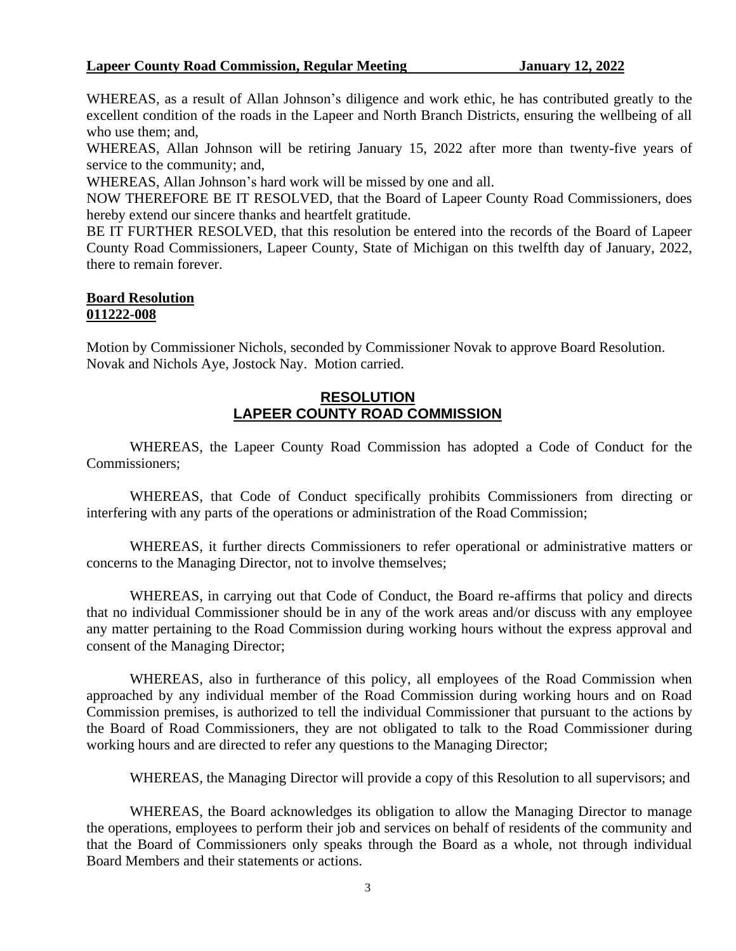#### **Lapeer County Road Commission, Regular Meeting January 12, 2022**

WHEREAS, as a result of Allan Johnson's diligence and work ethic, he has contributed greatly to the excellent condition of the roads in the Lapeer and North Branch Districts, ensuring the wellbeing of all who use them; and,

WHEREAS, Allan Johnson will be retiring January 15, 2022 after more than twenty-five years of service to the community; and,

WHEREAS, Allan Johnson's hard work will be missed by one and all.

NOW THEREFORE BE IT RESOLVED, that the Board of Lapeer County Road Commissioners, does hereby extend our sincere thanks and heartfelt gratitude.

BE IT FURTHER RESOLVED, that this resolution be entered into the records of the Board of Lapeer County Road Commissioners, Lapeer County, State of Michigan on this twelfth day of January, 2022, there to remain forever.

#### **Board Resolution 011222-008**

Motion by Commissioner Nichols, seconded by Commissioner Novak to approve Board Resolution. Novak and Nichols Aye, Jostock Nay. Motion carried.

# **RESOLUTION LAPEER COUNTY ROAD COMMISSION**

WHEREAS, the Lapeer County Road Commission has adopted a Code of Conduct for the Commissioners;

WHEREAS, that Code of Conduct specifically prohibits Commissioners from directing or interfering with any parts of the operations or administration of the Road Commission;

WHEREAS, it further directs Commissioners to refer operational or administrative matters or concerns to the Managing Director, not to involve themselves;

WHEREAS, in carrying out that Code of Conduct, the Board re-affirms that policy and directs that no individual Commissioner should be in any of the work areas and/or discuss with any employee any matter pertaining to the Road Commission during working hours without the express approval and consent of the Managing Director;

WHEREAS, also in furtherance of this policy, all employees of the Road Commission when approached by any individual member of the Road Commission during working hours and on Road Commission premises, is authorized to tell the individual Commissioner that pursuant to the actions by the Board of Road Commissioners, they are not obligated to talk to the Road Commissioner during working hours and are directed to refer any questions to the Managing Director;

WHEREAS, the Managing Director will provide a copy of this Resolution to all supervisors; and

WHEREAS, the Board acknowledges its obligation to allow the Managing Director to manage the operations, employees to perform their job and services on behalf of residents of the community and that the Board of Commissioners only speaks through the Board as a whole, not through individual Board Members and their statements or actions.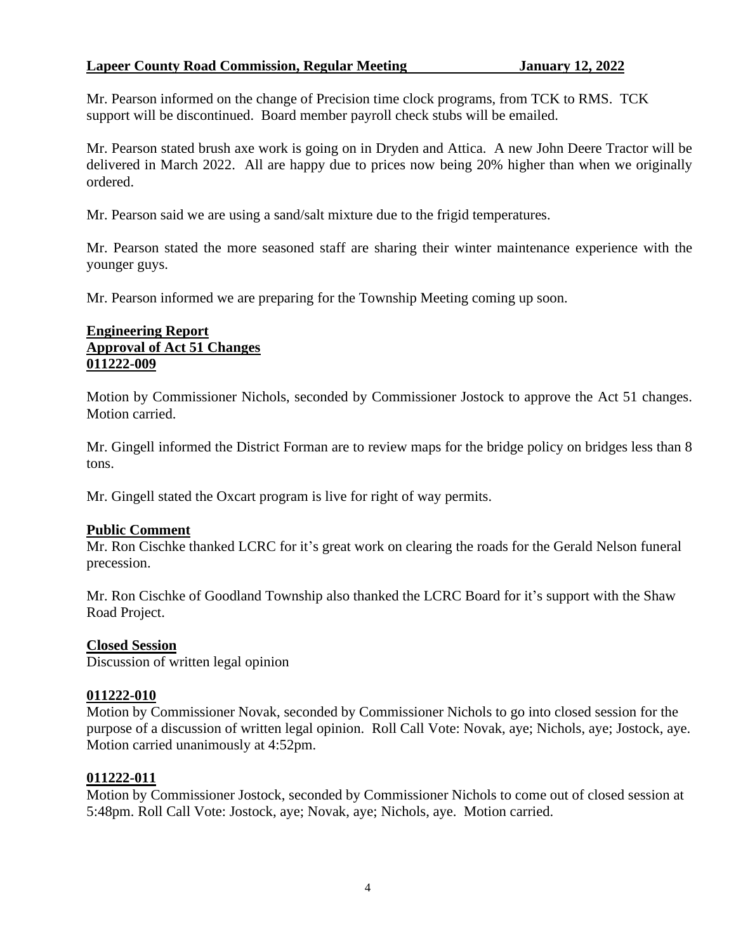# **Lapeer County Road Commission, Regular Meeting January 12, 2022**

Mr. Pearson informed on the change of Precision time clock programs, from TCK to RMS. TCK support will be discontinued. Board member payroll check stubs will be emailed.

Mr. Pearson stated brush axe work is going on in Dryden and Attica. A new John Deere Tractor will be delivered in March 2022. All are happy due to prices now being 20% higher than when we originally ordered.

Mr. Pearson said we are using a sand/salt mixture due to the frigid temperatures.

Mr. Pearson stated the more seasoned staff are sharing their winter maintenance experience with the younger guys.

Mr. Pearson informed we are preparing for the Township Meeting coming up soon.

# **Engineering Report Approval of Act 51 Changes 011222-009**

Motion by Commissioner Nichols, seconded by Commissioner Jostock to approve the Act 51 changes. Motion carried.

Mr. Gingell informed the District Forman are to review maps for the bridge policy on bridges less than 8 tons.

Mr. Gingell stated the Oxcart program is live for right of way permits.

### **Public Comment**

Mr. Ron Cischke thanked LCRC for it's great work on clearing the roads for the Gerald Nelson funeral precession.

Mr. Ron Cischke of Goodland Township also thanked the LCRC Board for it's support with the Shaw Road Project.

### **Closed Session**

Discussion of written legal opinion

### **011222-010**

Motion by Commissioner Novak, seconded by Commissioner Nichols to go into closed session for the purpose of a discussion of written legal opinion. Roll Call Vote: Novak, aye; Nichols, aye; Jostock, aye. Motion carried unanimously at 4:52pm.

#### **011222-011**

Motion by Commissioner Jostock, seconded by Commissioner Nichols to come out of closed session at 5:48pm. Roll Call Vote: Jostock, aye; Novak, aye; Nichols, aye. Motion carried.